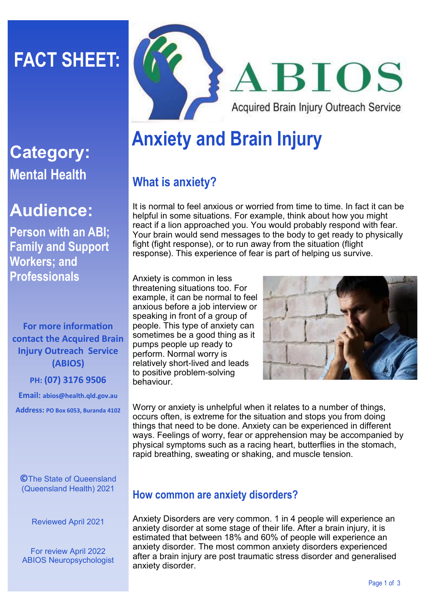# **FACT SHEET:**



## **Audience:**

**Person with an ABI; Family and Support Workers; and Professionals**

**For more information contact the Acquired Brain Injury Outreach Service (ABIOS)**

**PH: (07) 3176 9506**

**Email: abios@health.qld.gov.au Address: PO Box 6053, Buranda 4102**

**©**The State of Queensland (Queensland Health) 2021

Reviewed April 2021

For review April 2022 ABIOS Neuropsychologist



## **Anxiety and Brain Injury**

### **What is anxiety?**

It is normal to feel anxious or worried from time to time. In fact it can be helpful in some situations. For example, think about how you might react if a lion approached you. You would probably respond with fear. Your brain would send messages to the body to get ready to physically fight (fight response), or to run away from the situation (flight response). This experience of fear is part of helping us survive.

Anxiety is common in less threatening situations too. For example, it can be normal to feel anxious before a job interview or speaking in front of a group of people. This type of anxiety can sometimes be a good thing as it pumps people up ready to perform. Normal worry is relatively short-lived and leads to positive problem-solving behaviour.



Worry or anxiety is unhelpful when it relates to a number of things, occurs often, is extreme for the situation and stops you from doing things that need to be done. Anxiety can be experienced in different ways. Feelings of worry, fear or apprehension may be accompanied by physical symptoms such as a racing heart, butterflies in the stomach, rapid breathing, sweating or shaking, and muscle tension.

#### **How common are anxiety disorders?**

Anxiety Disorders are very common. 1 in 4 people will experience an anxiety disorder at some stage of their life. After a brain injury, it is estimated that between 18% and 60% of people will experience an anxiety disorder. The most common anxiety disorders experienced after a brain injury are post traumatic stress disorder and generalised anxiety disorder.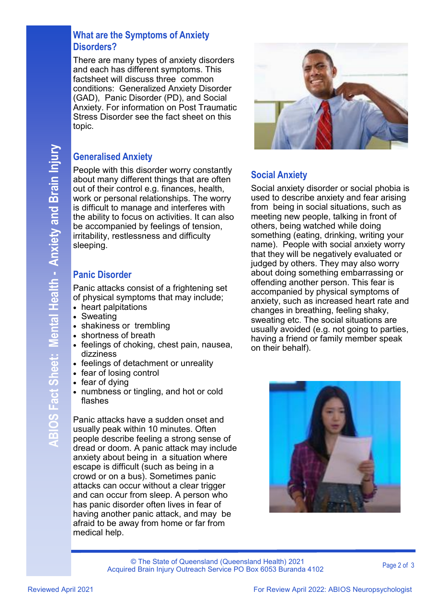#### **What are the Symptoms of Anxiety Disorders?**

There are many types of anxiety disorders and each has different symptoms. This factsheet will discuss three common conditions: Generalized Anxiety Disorder (GAD), Panic Disorder (PD), and Social Anxiety. For information on Post Traumatic Stress Disorder see the fact sheet on this topic.

#### **Generalised Anxiety**

People with this disorder worry constantly about many different things that are often out of their control e.g. finances, health, work or personal relationships. The worry is difficult to manage and interferes with the ability to focus on activities. It can also be accompanied by feelings of tension, irritability, restlessness and difficulty sleeping.

#### **Panic Disorder**

Panic attacks consist of a frightening set of physical symptoms that may include;

- heart palpitations
- Sweating
- shakiness or trembling
- shortness of breath
- feelings of choking, chest pain, nausea, dizziness
- feelings of detachment or unreality
- fear of losing control
- fear of dying
- numbness or tingling, and hot or cold flashes

Panic attacks have a sudden onset and usually peak within 10 minutes. Often people describe feeling a strong sense of dread or doom. A panic attack may include anxiety about being in a situation where escape is difficult (such as being in a crowd or on a bus). Sometimes panic attacks can occur without a clear trigger and can occur from sleep. A person who has panic disorder often lives in fear of having another panic attack, and may be afraid to be away from home or far from medical help.



#### **Social Anxiety**

Social anxiety disorder or social phobia is used to describe anxiety and fear arising from being in social situations, such as meeting new people, talking in front of others, being watched while doing something (eating, drinking, writing your name). People with social anxiety worry that they will be negatively evaluated or judged by others. They may also worry about doing something embarrassing or offending another person. This fear is accompanied by physical symptoms of anxiety, such as increased heart rate and changes in breathing, feeling shaky, sweating etc. The social situations are usually avoided (e.g. not going to parties, having a friend or family member speak on their behalf).